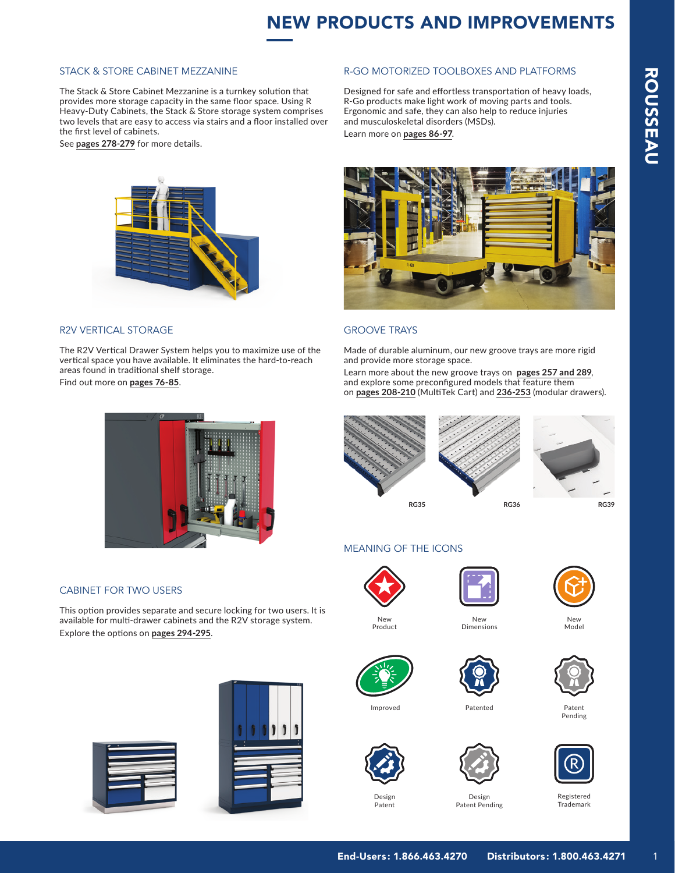# NEW PRODUCTS AND IMPROVEMENTS

and musculoskeletal disorders (MSDs).

Learn more on **pages 86-97**.

R-GO MOTORIZED TOOLBOXES AND PLATFORMS

Designed for safe and effortless transportation of heavy loads, R-Go products make light work of moving parts and tools. Ergonomic and safe, they can also help to reduce injuries

## STACK & STORE CABINET MEZZANINE

The Stack & Store Cabinet Mezzanine is a turnkey solution that provides more storage capacity in the same floor space. Using R Heavy-Duty Cabinets, the Stack & Store storage system comprises two levels that are easy to access via stairs and a floor installed over the first level of cabinets.

See **pages 278-279** for more details.



# R2V VERTICAL STORAGE

The R2V Vertical Drawer System helps you to maximize use of the vertical space you have available. It eliminates the hard-to-reach areas found in traditional shelf storage. Find out more on **pages 76-85**.



# GROOVE TRAYS

Made of durable aluminum, our new groove trays are more rigid and provide more storage space.

Learn more about the new groove trays on **pages 257 and 289**, and explore some preconfigured models that feature them on **pages 208-210** (MultiTek Cart) and **236-253** (modular drawers).



# MEANING OF THE ICONS



Product



New Dimensions



New Model





Patent Pending



Patented





Trademark



## CABINET FOR TWO USERS

This option provides separate and secure locking for two users. It is available for multi-drawer cabinets and the R2V storage system. Explore the options on **pages 294-295**.







Patent

Improved







Patent Pending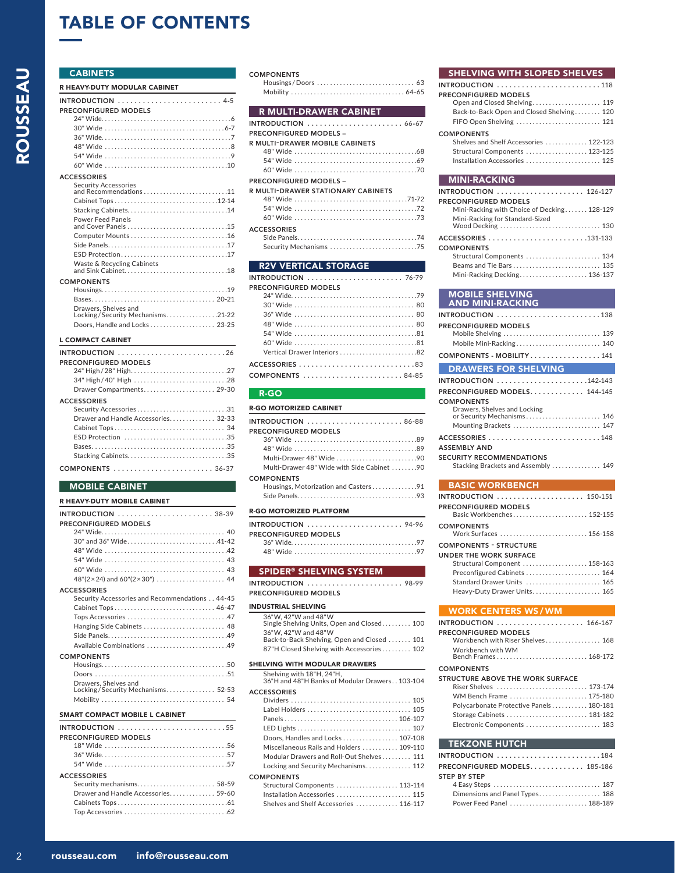# TABLE OF CONTENTS

# **CABINETS**

ROUSSEAU

ROUSSEAU

| R HEAVY DUTY MODULAR CABINET |
|------------------------------|
|                              |
| PRECONFIGURED MODELS         |
|                              |
|                              |
|                              |
|                              |
|                              |
|                              |
| <b>ACCESSORIES</b>           |
| <b>Security Accessories</b>  |
|                              |
| Stacking Cabinets14          |
| <b>Power Feed Panels</b>     |

| Waste & Recycling Cabinets |
|----------------------------|

#### COMPONENTS

| Drawers, Shelves and<br>Locking/Security Mechanisms21-22 |  |
|----------------------------------------------------------|--|
| Doors, Handle and Locks  23-25                           |  |

#### L COMPACT CABINET

| PRECONFIGURED MODELS                |
|-------------------------------------|
|                                     |
|                                     |
| Drawer Compartments 29-30           |
| <b>ACCESSORIES</b>                  |
| Security Accessories31              |
| Drawer and Handle Accessories 32-33 |
|                                     |
| ESD Protection 35                   |
|                                     |
|                                     |
| COMPONENTS  36-37                   |

### MOBILE CABINET

#### R HEAVY-DUTY MOBILE CABINET

| PRECONFIGURED MODELS                                      |
|-----------------------------------------------------------|
|                                                           |
| 30" and 36" Wide41-42                                     |
|                                                           |
|                                                           |
|                                                           |
|                                                           |
| <b>ACCESSORIES</b>                                        |
| Security Accessories and Recommendations 44-45            |
|                                                           |
| Tops Accessories 47                                       |
| Hanging Side Cabinets  48                                 |
|                                                           |
| Available Combinations 49                                 |
| <b>COMPONENTS</b>                                         |
|                                                           |
|                                                           |
| Drawers, Shelves and<br>Locking/Security Mechanisms 52-53 |
|                                                           |
| <b>SMART COMPACT MOBILE L CABINET</b>                     |
| $INTRODUCTION$ 55                                         |

| PRECONFIGURED MODELS                |  |
|-------------------------------------|--|
|                                     |  |
|                                     |  |
|                                     |  |
| <b>ACCESSORIES</b>                  |  |
| Security mechanisms 58-59           |  |
| Drawer and Handle Accessories 59-60 |  |
|                                     |  |
|                                     |  |
|                                     |  |

#### COMPONENTS

Housings / Doors. . . 63 Mobility. . 64-65

### R MULTI-DRAWER CABINET

| PRECONFIGURED MODELS –                |
|---------------------------------------|
| <b>R MULTI-DRAWER MOBILE CABINETS</b> |

| 11 MOLIT DRAWLIN MODILL CADINLIJ          |
|-------------------------------------------|
|                                           |
|                                           |
|                                           |
| <b>PRECONFIGURED MODELS -</b>             |
| <b>R MULTI-DRAWER STATIONARY CABINETS</b> |
|                                           |
|                                           |
|                                           |
| <b>ACCESSORIES</b>                        |
|                                           |
|                                           |
|                                           |
| <b>R2V VERTICAL STORAGE</b>               |
|                                           |

| PRECONFIGURED MODELS |
|----------------------|
|                      |
|                      |
|                      |
|                      |
|                      |
|                      |
|                      |
|                      |
| COMPONENTS 84-85     |

#### R-GO

| <b>R-GO MOTORIZED CABINET</b>              |
|--------------------------------------------|
|                                            |
| PRECONFIGURED MODELS                       |
|                                            |
|                                            |
| Multi-Drawer 48" Wide 90                   |
| Multi-Drawer 48" Wide with Side Cabinet 90 |
| <b>COMPONENTS</b>                          |
| Housings, Motorization and Casters91       |
|                                            |
| <b>R-GO MOTORIZED PLATFORM</b>             |
|                                            |

| PRECONFIGURED MODELS |  |
|----------------------|--|
|                      |  |
|                      |  |
|                      |  |

# SPIDER® SHELVING SYSTEM

| INTRODUCTION  98-99  |  |  |  |  |  |  |  |  |  |  |  |  |  |
|----------------------|--|--|--|--|--|--|--|--|--|--|--|--|--|
| PRECONFIGURED MODELS |  |  |  |  |  |  |  |  |  |  |  |  |  |

### INDUSTRIAL SHELVING

#### SHELVING WITH SLOPED SHELVES

| <b>INTRODUCTION</b> 118                   |
|-------------------------------------------|
| <b>PRECONFIGURED MODELS</b>               |
| Open and Closed Shelving 119              |
| Back-to-Back Open and Closed Shelving 120 |
| FIFO Open Shelving  121                   |
| <b>COMPONENTS</b>                         |
| Shelves and Shelf Accessories  122-123    |
| Structural Components  123-125            |
| Installation Accessories  125             |
| <b>MINI-RACKING</b>                       |
|                                           |

| <b>PRECONFIGURED MODELS</b>                 |
|---------------------------------------------|
| Mini-Racking with Choice of Decking 128-129 |
| Mini-Racking for Standard-Sized             |
| Wood Decking  130                           |
|                                             |
| ACCESSORIES 131-133                         |
| <b>COMPONENTS</b>                           |
| Structural Components  134                  |
|                                             |

#### MOBILE SHELVING AND MINI-RACKING

| PRECONFIGURED MODELS                |
|-------------------------------------|
| Mobile Shelving  139                |
| Mobile Mini-Racking 140             |
| COMPONENTS - MOBILITY141            |
| <b>DRAWERS FOR SHELVING</b>         |
| <b>INTRODUCTION</b> 142-143         |
| PRECONFIGURED MODELS 144-145        |
| <b>COMPONENTS</b>                   |
| Drawers, Shelves and Locking        |
| or Security Mechanisms 146          |
| Mounting Brackets  147              |
| ACCESSORIES 148                     |
| <b>ASSEMBLY AND</b>                 |
| <b>SECURITY RECOMMENDATIONS</b>     |
| Stacking Brackets and Assembly  149 |

### BASIC WORKBENCH

| <b>INTRODUCTION</b> 150-151                              |
|----------------------------------------------------------|
| <b>PRECONFIGURED MODELS</b><br>Basic Workbenches 152-155 |
| <b>COMPONENTS</b><br>Work Surfaces 156-158               |
| <b>COMPONENTS - STRUCTURE</b>                            |
| UNDER THE WORK SURFACE                                   |
| Structural Component  158-163                            |
| Preconfigured Cabinets  164                              |
| Standard Drawer Units  165                               |
| Heavy-Duty Drawer Units 165                              |

#### WORK CENTERS WS /WM

| <b>INTRODUCTION</b> 166-167                |
|--------------------------------------------|
| <b>PRECONFIGURED MODELS</b>                |
| Workbench with Riser Shelves 168           |
| Workhench with WM<br>Bench Frames  168-172 |
| <b>COMPONENTS</b>                          |
|                                            |

| STRUCTURE ABOVE THE WORK SURFACE        |  |
|-----------------------------------------|--|
| Riser Shelves  173-174                  |  |
| WM Bench Frame  175-180                 |  |
| Polycarbonate Protective Panels 180-181 |  |
| Storage Cabinets  181-182               |  |
| Electronic Components  183              |  |
|                                         |  |

### TEKZONE HUTCH